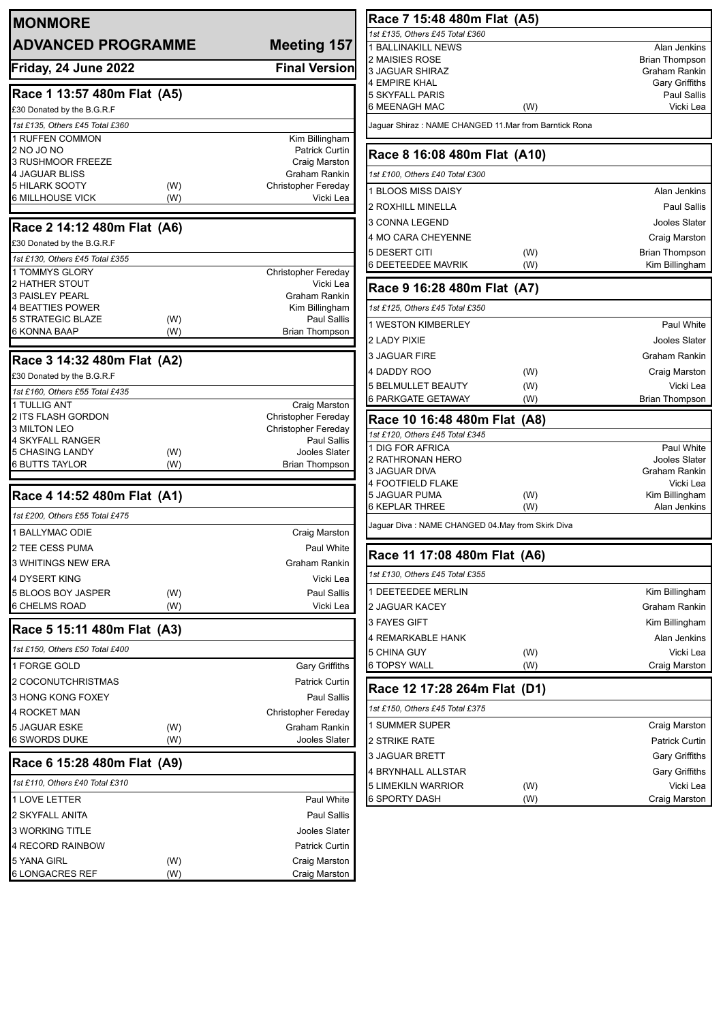| 1st £135, Others £45 Total £360<br><b>ADVANCED PROGRAMME</b><br>Meeting 157<br>1 BALLINAKILL NEWS<br>Alan Jenkins<br>2 MAISIES ROSE<br><b>Brian Thompson</b><br><b>Final Version</b><br>Friday, 24 June 2022<br><b>3 JAGUAR SHIRAZ</b><br>Graham Rankin<br>4 EMPIRE KHAL<br>Race 1 13:57 480m Flat (A5)<br>5 SKYFALL PARIS<br>Vicki Lea<br>6 MEENAGH MAC<br>(W)<br>£30 Donated by the B.G.R.F<br>1st £135, Others £45 Total £360<br>Jaguar Shiraz : NAME CHANGED 11.Mar from Barntick Rona<br>1 RUFFEN COMMON<br>Kim Billingham<br>2 NO JO NO<br>Patrick Curtin<br>Race 8 16:08 480m Flat (A10)<br><b>3 RUSHMOOR FREEZE</b><br>Craig Marston<br>4 JAGUAR BLISS<br>Graham Rankin<br>1st £100, Others £40 Total £300<br>5 HILARK SOOTY<br>Christopher Fereday<br>(W)<br>1 BLOOS MISS DAISY<br><b>6 MILLHOUSE VICK</b><br>(W)<br>Vicki Lea<br>2 ROXHILL MINELLA<br>3 CONNA LEGEND<br>Race 2 14:12 480m Flat (A6)<br>4 MO CARA CHEYENNE<br>Craig Marston<br>£30 Donated by the B.G.R.F<br>5 DESERT CITI<br>(W)<br><b>Brian Thompson</b><br>1st £130, Others £45 Total £355<br>6 DEETEEDEE MAVRIK<br>(W)<br>1 TOMMYS GLORY<br><b>Christopher Fereday</b><br>2 HATHER STOUT<br>Vicki Lea<br>Race 9 16:28 480m Flat (A7)<br>Graham Rankin<br><b>3 PAISLEY PEARL</b><br><b>4 BEATTIES POWER</b><br>Kim Billingham<br>1st £125, Others £45 Total £350<br>Paul Sallis<br>5 STRATEGIC BLAZE<br>(W)<br>1 WESTON KIMBERLEY<br>6 KONNA BAAP<br>(W)<br><b>Brian Thompson</b><br>2 LADY PIXIE<br><b>3 JAGUAR FIRE</b><br>Race 3 14:32 480m Flat (A2)<br>4 DADDY ROO<br>(W)<br>£30 Donated by the B.G.R.F<br>5 BELMULLET BEAUTY<br>(W)<br>1st £160, Others £55 Total £435<br><b>6 PARKGATE GETAWAY</b><br>(W)<br>1 TULLIG ANT<br>Craig Marston<br><b>Christopher Fereday</b><br>2 ITS FLASH GORDON<br>Race 10 16:48 480m Flat (A8)<br>3 MILTON LEO<br><b>Christopher Fereday</b><br>1st £120, Others £45 Total £345<br>4 SKYFALL RANGER<br>Paul Sallis<br>1 DIG FOR AFRICA<br>5 CHASING LANDY<br>Jooles Slater<br>(W)<br>2 RATHRONAN HERO<br><b>6 BUTTS TAYLOR</b><br>(W)<br><b>Brian Thompson</b><br>3 JAGUAR DIVA<br>4 FOOTFIELD FLAKE<br>Vicki Lea<br>Race 4 14:52 480m Flat (A1)<br>Kim Billingham<br>5 JAGUAR PUMA<br>(W)<br>6 KEPLAR THREE<br>(W)<br>1st £200, Others £55 Total £475<br>Jaguar Diva : NAME CHANGED 04.May from Skirk Diva<br>1 BALLYMAC ODIE<br>Craig Marston<br>2 TEE CESS PUMA<br>Paul White<br>Race 11 17:08 480m Flat (A6)<br>3 WHITINGS NEW ERA<br>Graham Rankin<br>1st £130, Others £45 Total £355<br>4 DYSERT KING<br>Vicki Lea<br>Kim Billingham<br>I DEETEEDEE MERLIN<br>5 BLOOS BOY JASPER<br>Paul Sallis<br>(W)<br><b>6 CHELMS ROAD</b><br>(W)<br>Vicki Lea<br>2 JAGUAR KACEY<br>Graham Rankin<br>3 FAYES GIFT<br>Kim Billingham<br>Race 5 15:11 480m Flat (A3)<br>4 REMARKABLE HANK<br>Alan Jenkins<br>1st £150, Others £50 Total £400<br>Vicki Lea<br>5 CHINA GUY<br>(W)<br><b>6 TOPSY WALL</b><br>(W)<br><b>Gary Griffiths</b><br>Craig Marston<br>1 FORGE GOLD<br>2 COCONUTCHRISTMAS<br><b>Patrick Curtin</b><br>Race 12 17:28 264m Flat (D1)<br>Paul Sallis<br>3 HONG KONG FOXEY<br>1st £150, Others £45 Total £375<br><b>Christopher Fereday</b><br>4 ROCKET MAN<br>1 SUMMER SUPER<br>Craig Marston<br>5 JAGUAR ESKE<br>Graham Rankin<br>(W)<br>6 SWORDS DUKE<br>Jooles Slater<br>(W)<br>2 STRIKE RATE<br><b>Patrick Curtin</b><br>3 JAGUAR BRETT<br><b>Gary Griffiths</b><br>Race 6 15:28 480m Flat (A9)<br>4 BRYNHALL ALLSTAR<br><b>Gary Griffiths</b><br>1st £110, Others £40 Total £310<br>Vicki Lea<br>5 LIMEKILN WARRIOR<br>(W)<br><b>6 SPORTY DASH</b><br>(W)<br>Paul White<br>1 LOVE LETTER<br>2 SKYFALL ANITA<br>Paul Sallis<br>3 WORKING TITLE<br>Jooles Slater<br>4 RECORD RAINBOW<br><b>Patrick Curtin</b><br>5 YANA GIRL<br>(W)<br>Craig Marston<br><b>6 LONGACRES REF</b><br>(W)<br>Craig Marston | <b>MONMORE</b> |  | Race 7 15:48 480m Flat (A5) |                       |
|---------------------------------------------------------------------------------------------------------------------------------------------------------------------------------------------------------------------------------------------------------------------------------------------------------------------------------------------------------------------------------------------------------------------------------------------------------------------------------------------------------------------------------------------------------------------------------------------------------------------------------------------------------------------------------------------------------------------------------------------------------------------------------------------------------------------------------------------------------------------------------------------------------------------------------------------------------------------------------------------------------------------------------------------------------------------------------------------------------------------------------------------------------------------------------------------------------------------------------------------------------------------------------------------------------------------------------------------------------------------------------------------------------------------------------------------------------------------------------------------------------------------------------------------------------------------------------------------------------------------------------------------------------------------------------------------------------------------------------------------------------------------------------------------------------------------------------------------------------------------------------------------------------------------------------------------------------------------------------------------------------------------------------------------------------------------------------------------------------------------------------------------------------------------------------------------------------------------------------------------------------------------------------------------------------------------------------------------------------------------------------------------------------------------------------------------------------------------------------------------------------------------------------------------------------------------------------------------------------------------------------------------------------------------------------------------------------------------------------------------------------------------------------------------------------------------------------------------------------------------------------------------------------------------------------------------------------------------------------------------------------------------------------------------------------------------------------------------------------------------------------------------------------------------------------------------------------------------------------------------------------------------------------------------------------------------------------------------------------------------------------------------------------------------------------------------------------------------------------------------------------------------------------------------------------------------------------------------------------------------------------------------------------------------------------------------------------------------------------------------------------------------------------------------------------------------------------------|----------------|--|-----------------------------|-----------------------|
|                                                                                                                                                                                                                                                                                                                                                                                                                                                                                                                                                                                                                                                                                                                                                                                                                                                                                                                                                                                                                                                                                                                                                                                                                                                                                                                                                                                                                                                                                                                                                                                                                                                                                                                                                                                                                                                                                                                                                                                                                                                                                                                                                                                                                                                                                                                                                                                                                                                                                                                                                                                                                                                                                                                                                                                                                                                                                                                                                                                                                                                                                                                                                                                                                                                                                                                                                                                                                                                                                                                                                                                                                                                                                                                                                                                                                                       |                |  |                             |                       |
|                                                                                                                                                                                                                                                                                                                                                                                                                                                                                                                                                                                                                                                                                                                                                                                                                                                                                                                                                                                                                                                                                                                                                                                                                                                                                                                                                                                                                                                                                                                                                                                                                                                                                                                                                                                                                                                                                                                                                                                                                                                                                                                                                                                                                                                                                                                                                                                                                                                                                                                                                                                                                                                                                                                                                                                                                                                                                                                                                                                                                                                                                                                                                                                                                                                                                                                                                                                                                                                                                                                                                                                                                                                                                                                                                                                                                                       |                |  |                             |                       |
|                                                                                                                                                                                                                                                                                                                                                                                                                                                                                                                                                                                                                                                                                                                                                                                                                                                                                                                                                                                                                                                                                                                                                                                                                                                                                                                                                                                                                                                                                                                                                                                                                                                                                                                                                                                                                                                                                                                                                                                                                                                                                                                                                                                                                                                                                                                                                                                                                                                                                                                                                                                                                                                                                                                                                                                                                                                                                                                                                                                                                                                                                                                                                                                                                                                                                                                                                                                                                                                                                                                                                                                                                                                                                                                                                                                                                                       |                |  |                             |                       |
|                                                                                                                                                                                                                                                                                                                                                                                                                                                                                                                                                                                                                                                                                                                                                                                                                                                                                                                                                                                                                                                                                                                                                                                                                                                                                                                                                                                                                                                                                                                                                                                                                                                                                                                                                                                                                                                                                                                                                                                                                                                                                                                                                                                                                                                                                                                                                                                                                                                                                                                                                                                                                                                                                                                                                                                                                                                                                                                                                                                                                                                                                                                                                                                                                                                                                                                                                                                                                                                                                                                                                                                                                                                                                                                                                                                                                                       |                |  |                             | <b>Gary Griffiths</b> |
|                                                                                                                                                                                                                                                                                                                                                                                                                                                                                                                                                                                                                                                                                                                                                                                                                                                                                                                                                                                                                                                                                                                                                                                                                                                                                                                                                                                                                                                                                                                                                                                                                                                                                                                                                                                                                                                                                                                                                                                                                                                                                                                                                                                                                                                                                                                                                                                                                                                                                                                                                                                                                                                                                                                                                                                                                                                                                                                                                                                                                                                                                                                                                                                                                                                                                                                                                                                                                                                                                                                                                                                                                                                                                                                                                                                                                                       |                |  |                             | Paul Sallis           |
|                                                                                                                                                                                                                                                                                                                                                                                                                                                                                                                                                                                                                                                                                                                                                                                                                                                                                                                                                                                                                                                                                                                                                                                                                                                                                                                                                                                                                                                                                                                                                                                                                                                                                                                                                                                                                                                                                                                                                                                                                                                                                                                                                                                                                                                                                                                                                                                                                                                                                                                                                                                                                                                                                                                                                                                                                                                                                                                                                                                                                                                                                                                                                                                                                                                                                                                                                                                                                                                                                                                                                                                                                                                                                                                                                                                                                                       |                |  |                             |                       |
|                                                                                                                                                                                                                                                                                                                                                                                                                                                                                                                                                                                                                                                                                                                                                                                                                                                                                                                                                                                                                                                                                                                                                                                                                                                                                                                                                                                                                                                                                                                                                                                                                                                                                                                                                                                                                                                                                                                                                                                                                                                                                                                                                                                                                                                                                                                                                                                                                                                                                                                                                                                                                                                                                                                                                                                                                                                                                                                                                                                                                                                                                                                                                                                                                                                                                                                                                                                                                                                                                                                                                                                                                                                                                                                                                                                                                                       |                |  |                             |                       |
|                                                                                                                                                                                                                                                                                                                                                                                                                                                                                                                                                                                                                                                                                                                                                                                                                                                                                                                                                                                                                                                                                                                                                                                                                                                                                                                                                                                                                                                                                                                                                                                                                                                                                                                                                                                                                                                                                                                                                                                                                                                                                                                                                                                                                                                                                                                                                                                                                                                                                                                                                                                                                                                                                                                                                                                                                                                                                                                                                                                                                                                                                                                                                                                                                                                                                                                                                                                                                                                                                                                                                                                                                                                                                                                                                                                                                                       |                |  |                             |                       |
|                                                                                                                                                                                                                                                                                                                                                                                                                                                                                                                                                                                                                                                                                                                                                                                                                                                                                                                                                                                                                                                                                                                                                                                                                                                                                                                                                                                                                                                                                                                                                                                                                                                                                                                                                                                                                                                                                                                                                                                                                                                                                                                                                                                                                                                                                                                                                                                                                                                                                                                                                                                                                                                                                                                                                                                                                                                                                                                                                                                                                                                                                                                                                                                                                                                                                                                                                                                                                                                                                                                                                                                                                                                                                                                                                                                                                                       |                |  |                             |                       |
|                                                                                                                                                                                                                                                                                                                                                                                                                                                                                                                                                                                                                                                                                                                                                                                                                                                                                                                                                                                                                                                                                                                                                                                                                                                                                                                                                                                                                                                                                                                                                                                                                                                                                                                                                                                                                                                                                                                                                                                                                                                                                                                                                                                                                                                                                                                                                                                                                                                                                                                                                                                                                                                                                                                                                                                                                                                                                                                                                                                                                                                                                                                                                                                                                                                                                                                                                                                                                                                                                                                                                                                                                                                                                                                                                                                                                                       |                |  |                             |                       |
|                                                                                                                                                                                                                                                                                                                                                                                                                                                                                                                                                                                                                                                                                                                                                                                                                                                                                                                                                                                                                                                                                                                                                                                                                                                                                                                                                                                                                                                                                                                                                                                                                                                                                                                                                                                                                                                                                                                                                                                                                                                                                                                                                                                                                                                                                                                                                                                                                                                                                                                                                                                                                                                                                                                                                                                                                                                                                                                                                                                                                                                                                                                                                                                                                                                                                                                                                                                                                                                                                                                                                                                                                                                                                                                                                                                                                                       |                |  |                             | Alan Jenkins          |
|                                                                                                                                                                                                                                                                                                                                                                                                                                                                                                                                                                                                                                                                                                                                                                                                                                                                                                                                                                                                                                                                                                                                                                                                                                                                                                                                                                                                                                                                                                                                                                                                                                                                                                                                                                                                                                                                                                                                                                                                                                                                                                                                                                                                                                                                                                                                                                                                                                                                                                                                                                                                                                                                                                                                                                                                                                                                                                                                                                                                                                                                                                                                                                                                                                                                                                                                                                                                                                                                                                                                                                                                                                                                                                                                                                                                                                       |                |  |                             | <b>Paul Sallis</b>    |
|                                                                                                                                                                                                                                                                                                                                                                                                                                                                                                                                                                                                                                                                                                                                                                                                                                                                                                                                                                                                                                                                                                                                                                                                                                                                                                                                                                                                                                                                                                                                                                                                                                                                                                                                                                                                                                                                                                                                                                                                                                                                                                                                                                                                                                                                                                                                                                                                                                                                                                                                                                                                                                                                                                                                                                                                                                                                                                                                                                                                                                                                                                                                                                                                                                                                                                                                                                                                                                                                                                                                                                                                                                                                                                                                                                                                                                       |                |  |                             | Jooles Slater         |
|                                                                                                                                                                                                                                                                                                                                                                                                                                                                                                                                                                                                                                                                                                                                                                                                                                                                                                                                                                                                                                                                                                                                                                                                                                                                                                                                                                                                                                                                                                                                                                                                                                                                                                                                                                                                                                                                                                                                                                                                                                                                                                                                                                                                                                                                                                                                                                                                                                                                                                                                                                                                                                                                                                                                                                                                                                                                                                                                                                                                                                                                                                                                                                                                                                                                                                                                                                                                                                                                                                                                                                                                                                                                                                                                                                                                                                       |                |  |                             |                       |
|                                                                                                                                                                                                                                                                                                                                                                                                                                                                                                                                                                                                                                                                                                                                                                                                                                                                                                                                                                                                                                                                                                                                                                                                                                                                                                                                                                                                                                                                                                                                                                                                                                                                                                                                                                                                                                                                                                                                                                                                                                                                                                                                                                                                                                                                                                                                                                                                                                                                                                                                                                                                                                                                                                                                                                                                                                                                                                                                                                                                                                                                                                                                                                                                                                                                                                                                                                                                                                                                                                                                                                                                                                                                                                                                                                                                                                       |                |  |                             |                       |
|                                                                                                                                                                                                                                                                                                                                                                                                                                                                                                                                                                                                                                                                                                                                                                                                                                                                                                                                                                                                                                                                                                                                                                                                                                                                                                                                                                                                                                                                                                                                                                                                                                                                                                                                                                                                                                                                                                                                                                                                                                                                                                                                                                                                                                                                                                                                                                                                                                                                                                                                                                                                                                                                                                                                                                                                                                                                                                                                                                                                                                                                                                                                                                                                                                                                                                                                                                                                                                                                                                                                                                                                                                                                                                                                                                                                                                       |                |  |                             | Kim Billingham        |
|                                                                                                                                                                                                                                                                                                                                                                                                                                                                                                                                                                                                                                                                                                                                                                                                                                                                                                                                                                                                                                                                                                                                                                                                                                                                                                                                                                                                                                                                                                                                                                                                                                                                                                                                                                                                                                                                                                                                                                                                                                                                                                                                                                                                                                                                                                                                                                                                                                                                                                                                                                                                                                                                                                                                                                                                                                                                                                                                                                                                                                                                                                                                                                                                                                                                                                                                                                                                                                                                                                                                                                                                                                                                                                                                                                                                                                       |                |  |                             |                       |
|                                                                                                                                                                                                                                                                                                                                                                                                                                                                                                                                                                                                                                                                                                                                                                                                                                                                                                                                                                                                                                                                                                                                                                                                                                                                                                                                                                                                                                                                                                                                                                                                                                                                                                                                                                                                                                                                                                                                                                                                                                                                                                                                                                                                                                                                                                                                                                                                                                                                                                                                                                                                                                                                                                                                                                                                                                                                                                                                                                                                                                                                                                                                                                                                                                                                                                                                                                                                                                                                                                                                                                                                                                                                                                                                                                                                                                       |                |  |                             |                       |
|                                                                                                                                                                                                                                                                                                                                                                                                                                                                                                                                                                                                                                                                                                                                                                                                                                                                                                                                                                                                                                                                                                                                                                                                                                                                                                                                                                                                                                                                                                                                                                                                                                                                                                                                                                                                                                                                                                                                                                                                                                                                                                                                                                                                                                                                                                                                                                                                                                                                                                                                                                                                                                                                                                                                                                                                                                                                                                                                                                                                                                                                                                                                                                                                                                                                                                                                                                                                                                                                                                                                                                                                                                                                                                                                                                                                                                       |                |  |                             |                       |
|                                                                                                                                                                                                                                                                                                                                                                                                                                                                                                                                                                                                                                                                                                                                                                                                                                                                                                                                                                                                                                                                                                                                                                                                                                                                                                                                                                                                                                                                                                                                                                                                                                                                                                                                                                                                                                                                                                                                                                                                                                                                                                                                                                                                                                                                                                                                                                                                                                                                                                                                                                                                                                                                                                                                                                                                                                                                                                                                                                                                                                                                                                                                                                                                                                                                                                                                                                                                                                                                                                                                                                                                                                                                                                                                                                                                                                       |                |  |                             | Paul White            |
|                                                                                                                                                                                                                                                                                                                                                                                                                                                                                                                                                                                                                                                                                                                                                                                                                                                                                                                                                                                                                                                                                                                                                                                                                                                                                                                                                                                                                                                                                                                                                                                                                                                                                                                                                                                                                                                                                                                                                                                                                                                                                                                                                                                                                                                                                                                                                                                                                                                                                                                                                                                                                                                                                                                                                                                                                                                                                                                                                                                                                                                                                                                                                                                                                                                                                                                                                                                                                                                                                                                                                                                                                                                                                                                                                                                                                                       |                |  |                             | Jooles Slater         |
|                                                                                                                                                                                                                                                                                                                                                                                                                                                                                                                                                                                                                                                                                                                                                                                                                                                                                                                                                                                                                                                                                                                                                                                                                                                                                                                                                                                                                                                                                                                                                                                                                                                                                                                                                                                                                                                                                                                                                                                                                                                                                                                                                                                                                                                                                                                                                                                                                                                                                                                                                                                                                                                                                                                                                                                                                                                                                                                                                                                                                                                                                                                                                                                                                                                                                                                                                                                                                                                                                                                                                                                                                                                                                                                                                                                                                                       |                |  |                             | Graham Rankin         |
|                                                                                                                                                                                                                                                                                                                                                                                                                                                                                                                                                                                                                                                                                                                                                                                                                                                                                                                                                                                                                                                                                                                                                                                                                                                                                                                                                                                                                                                                                                                                                                                                                                                                                                                                                                                                                                                                                                                                                                                                                                                                                                                                                                                                                                                                                                                                                                                                                                                                                                                                                                                                                                                                                                                                                                                                                                                                                                                                                                                                                                                                                                                                                                                                                                                                                                                                                                                                                                                                                                                                                                                                                                                                                                                                                                                                                                       |                |  |                             | Craig Marston         |
|                                                                                                                                                                                                                                                                                                                                                                                                                                                                                                                                                                                                                                                                                                                                                                                                                                                                                                                                                                                                                                                                                                                                                                                                                                                                                                                                                                                                                                                                                                                                                                                                                                                                                                                                                                                                                                                                                                                                                                                                                                                                                                                                                                                                                                                                                                                                                                                                                                                                                                                                                                                                                                                                                                                                                                                                                                                                                                                                                                                                                                                                                                                                                                                                                                                                                                                                                                                                                                                                                                                                                                                                                                                                                                                                                                                                                                       |                |  |                             | Vicki Lea             |
|                                                                                                                                                                                                                                                                                                                                                                                                                                                                                                                                                                                                                                                                                                                                                                                                                                                                                                                                                                                                                                                                                                                                                                                                                                                                                                                                                                                                                                                                                                                                                                                                                                                                                                                                                                                                                                                                                                                                                                                                                                                                                                                                                                                                                                                                                                                                                                                                                                                                                                                                                                                                                                                                                                                                                                                                                                                                                                                                                                                                                                                                                                                                                                                                                                                                                                                                                                                                                                                                                                                                                                                                                                                                                                                                                                                                                                       |                |  |                             | <b>Brian Thompson</b> |
|                                                                                                                                                                                                                                                                                                                                                                                                                                                                                                                                                                                                                                                                                                                                                                                                                                                                                                                                                                                                                                                                                                                                                                                                                                                                                                                                                                                                                                                                                                                                                                                                                                                                                                                                                                                                                                                                                                                                                                                                                                                                                                                                                                                                                                                                                                                                                                                                                                                                                                                                                                                                                                                                                                                                                                                                                                                                                                                                                                                                                                                                                                                                                                                                                                                                                                                                                                                                                                                                                                                                                                                                                                                                                                                                                                                                                                       |                |  |                             |                       |
|                                                                                                                                                                                                                                                                                                                                                                                                                                                                                                                                                                                                                                                                                                                                                                                                                                                                                                                                                                                                                                                                                                                                                                                                                                                                                                                                                                                                                                                                                                                                                                                                                                                                                                                                                                                                                                                                                                                                                                                                                                                                                                                                                                                                                                                                                                                                                                                                                                                                                                                                                                                                                                                                                                                                                                                                                                                                                                                                                                                                                                                                                                                                                                                                                                                                                                                                                                                                                                                                                                                                                                                                                                                                                                                                                                                                                                       |                |  |                             |                       |
|                                                                                                                                                                                                                                                                                                                                                                                                                                                                                                                                                                                                                                                                                                                                                                                                                                                                                                                                                                                                                                                                                                                                                                                                                                                                                                                                                                                                                                                                                                                                                                                                                                                                                                                                                                                                                                                                                                                                                                                                                                                                                                                                                                                                                                                                                                                                                                                                                                                                                                                                                                                                                                                                                                                                                                                                                                                                                                                                                                                                                                                                                                                                                                                                                                                                                                                                                                                                                                                                                                                                                                                                                                                                                                                                                                                                                                       |                |  |                             | Paul White            |
|                                                                                                                                                                                                                                                                                                                                                                                                                                                                                                                                                                                                                                                                                                                                                                                                                                                                                                                                                                                                                                                                                                                                                                                                                                                                                                                                                                                                                                                                                                                                                                                                                                                                                                                                                                                                                                                                                                                                                                                                                                                                                                                                                                                                                                                                                                                                                                                                                                                                                                                                                                                                                                                                                                                                                                                                                                                                                                                                                                                                                                                                                                                                                                                                                                                                                                                                                                                                                                                                                                                                                                                                                                                                                                                                                                                                                                       |                |  |                             | Jooles Slater         |
|                                                                                                                                                                                                                                                                                                                                                                                                                                                                                                                                                                                                                                                                                                                                                                                                                                                                                                                                                                                                                                                                                                                                                                                                                                                                                                                                                                                                                                                                                                                                                                                                                                                                                                                                                                                                                                                                                                                                                                                                                                                                                                                                                                                                                                                                                                                                                                                                                                                                                                                                                                                                                                                                                                                                                                                                                                                                                                                                                                                                                                                                                                                                                                                                                                                                                                                                                                                                                                                                                                                                                                                                                                                                                                                                                                                                                                       |                |  |                             | Graham Rankin         |
|                                                                                                                                                                                                                                                                                                                                                                                                                                                                                                                                                                                                                                                                                                                                                                                                                                                                                                                                                                                                                                                                                                                                                                                                                                                                                                                                                                                                                                                                                                                                                                                                                                                                                                                                                                                                                                                                                                                                                                                                                                                                                                                                                                                                                                                                                                                                                                                                                                                                                                                                                                                                                                                                                                                                                                                                                                                                                                                                                                                                                                                                                                                                                                                                                                                                                                                                                                                                                                                                                                                                                                                                                                                                                                                                                                                                                                       |                |  |                             |                       |
|                                                                                                                                                                                                                                                                                                                                                                                                                                                                                                                                                                                                                                                                                                                                                                                                                                                                                                                                                                                                                                                                                                                                                                                                                                                                                                                                                                                                                                                                                                                                                                                                                                                                                                                                                                                                                                                                                                                                                                                                                                                                                                                                                                                                                                                                                                                                                                                                                                                                                                                                                                                                                                                                                                                                                                                                                                                                                                                                                                                                                                                                                                                                                                                                                                                                                                                                                                                                                                                                                                                                                                                                                                                                                                                                                                                                                                       |                |  |                             | Alan Jenkins          |
|                                                                                                                                                                                                                                                                                                                                                                                                                                                                                                                                                                                                                                                                                                                                                                                                                                                                                                                                                                                                                                                                                                                                                                                                                                                                                                                                                                                                                                                                                                                                                                                                                                                                                                                                                                                                                                                                                                                                                                                                                                                                                                                                                                                                                                                                                                                                                                                                                                                                                                                                                                                                                                                                                                                                                                                                                                                                                                                                                                                                                                                                                                                                                                                                                                                                                                                                                                                                                                                                                                                                                                                                                                                                                                                                                                                                                                       |                |  |                             |                       |
|                                                                                                                                                                                                                                                                                                                                                                                                                                                                                                                                                                                                                                                                                                                                                                                                                                                                                                                                                                                                                                                                                                                                                                                                                                                                                                                                                                                                                                                                                                                                                                                                                                                                                                                                                                                                                                                                                                                                                                                                                                                                                                                                                                                                                                                                                                                                                                                                                                                                                                                                                                                                                                                                                                                                                                                                                                                                                                                                                                                                                                                                                                                                                                                                                                                                                                                                                                                                                                                                                                                                                                                                                                                                                                                                                                                                                                       |                |  |                             |                       |
|                                                                                                                                                                                                                                                                                                                                                                                                                                                                                                                                                                                                                                                                                                                                                                                                                                                                                                                                                                                                                                                                                                                                                                                                                                                                                                                                                                                                                                                                                                                                                                                                                                                                                                                                                                                                                                                                                                                                                                                                                                                                                                                                                                                                                                                                                                                                                                                                                                                                                                                                                                                                                                                                                                                                                                                                                                                                                                                                                                                                                                                                                                                                                                                                                                                                                                                                                                                                                                                                                                                                                                                                                                                                                                                                                                                                                                       |                |  |                             |                       |
|                                                                                                                                                                                                                                                                                                                                                                                                                                                                                                                                                                                                                                                                                                                                                                                                                                                                                                                                                                                                                                                                                                                                                                                                                                                                                                                                                                                                                                                                                                                                                                                                                                                                                                                                                                                                                                                                                                                                                                                                                                                                                                                                                                                                                                                                                                                                                                                                                                                                                                                                                                                                                                                                                                                                                                                                                                                                                                                                                                                                                                                                                                                                                                                                                                                                                                                                                                                                                                                                                                                                                                                                                                                                                                                                                                                                                                       |                |  |                             |                       |
|                                                                                                                                                                                                                                                                                                                                                                                                                                                                                                                                                                                                                                                                                                                                                                                                                                                                                                                                                                                                                                                                                                                                                                                                                                                                                                                                                                                                                                                                                                                                                                                                                                                                                                                                                                                                                                                                                                                                                                                                                                                                                                                                                                                                                                                                                                                                                                                                                                                                                                                                                                                                                                                                                                                                                                                                                                                                                                                                                                                                                                                                                                                                                                                                                                                                                                                                                                                                                                                                                                                                                                                                                                                                                                                                                                                                                                       |                |  |                             |                       |
|                                                                                                                                                                                                                                                                                                                                                                                                                                                                                                                                                                                                                                                                                                                                                                                                                                                                                                                                                                                                                                                                                                                                                                                                                                                                                                                                                                                                                                                                                                                                                                                                                                                                                                                                                                                                                                                                                                                                                                                                                                                                                                                                                                                                                                                                                                                                                                                                                                                                                                                                                                                                                                                                                                                                                                                                                                                                                                                                                                                                                                                                                                                                                                                                                                                                                                                                                                                                                                                                                                                                                                                                                                                                                                                                                                                                                                       |                |  |                             |                       |
|                                                                                                                                                                                                                                                                                                                                                                                                                                                                                                                                                                                                                                                                                                                                                                                                                                                                                                                                                                                                                                                                                                                                                                                                                                                                                                                                                                                                                                                                                                                                                                                                                                                                                                                                                                                                                                                                                                                                                                                                                                                                                                                                                                                                                                                                                                                                                                                                                                                                                                                                                                                                                                                                                                                                                                                                                                                                                                                                                                                                                                                                                                                                                                                                                                                                                                                                                                                                                                                                                                                                                                                                                                                                                                                                                                                                                                       |                |  |                             |                       |
|                                                                                                                                                                                                                                                                                                                                                                                                                                                                                                                                                                                                                                                                                                                                                                                                                                                                                                                                                                                                                                                                                                                                                                                                                                                                                                                                                                                                                                                                                                                                                                                                                                                                                                                                                                                                                                                                                                                                                                                                                                                                                                                                                                                                                                                                                                                                                                                                                                                                                                                                                                                                                                                                                                                                                                                                                                                                                                                                                                                                                                                                                                                                                                                                                                                                                                                                                                                                                                                                                                                                                                                                                                                                                                                                                                                                                                       |                |  |                             |                       |
|                                                                                                                                                                                                                                                                                                                                                                                                                                                                                                                                                                                                                                                                                                                                                                                                                                                                                                                                                                                                                                                                                                                                                                                                                                                                                                                                                                                                                                                                                                                                                                                                                                                                                                                                                                                                                                                                                                                                                                                                                                                                                                                                                                                                                                                                                                                                                                                                                                                                                                                                                                                                                                                                                                                                                                                                                                                                                                                                                                                                                                                                                                                                                                                                                                                                                                                                                                                                                                                                                                                                                                                                                                                                                                                                                                                                                                       |                |  |                             |                       |
|                                                                                                                                                                                                                                                                                                                                                                                                                                                                                                                                                                                                                                                                                                                                                                                                                                                                                                                                                                                                                                                                                                                                                                                                                                                                                                                                                                                                                                                                                                                                                                                                                                                                                                                                                                                                                                                                                                                                                                                                                                                                                                                                                                                                                                                                                                                                                                                                                                                                                                                                                                                                                                                                                                                                                                                                                                                                                                                                                                                                                                                                                                                                                                                                                                                                                                                                                                                                                                                                                                                                                                                                                                                                                                                                                                                                                                       |                |  |                             |                       |
|                                                                                                                                                                                                                                                                                                                                                                                                                                                                                                                                                                                                                                                                                                                                                                                                                                                                                                                                                                                                                                                                                                                                                                                                                                                                                                                                                                                                                                                                                                                                                                                                                                                                                                                                                                                                                                                                                                                                                                                                                                                                                                                                                                                                                                                                                                                                                                                                                                                                                                                                                                                                                                                                                                                                                                                                                                                                                                                                                                                                                                                                                                                                                                                                                                                                                                                                                                                                                                                                                                                                                                                                                                                                                                                                                                                                                                       |                |  |                             |                       |
|                                                                                                                                                                                                                                                                                                                                                                                                                                                                                                                                                                                                                                                                                                                                                                                                                                                                                                                                                                                                                                                                                                                                                                                                                                                                                                                                                                                                                                                                                                                                                                                                                                                                                                                                                                                                                                                                                                                                                                                                                                                                                                                                                                                                                                                                                                                                                                                                                                                                                                                                                                                                                                                                                                                                                                                                                                                                                                                                                                                                                                                                                                                                                                                                                                                                                                                                                                                                                                                                                                                                                                                                                                                                                                                                                                                                                                       |                |  |                             |                       |
|                                                                                                                                                                                                                                                                                                                                                                                                                                                                                                                                                                                                                                                                                                                                                                                                                                                                                                                                                                                                                                                                                                                                                                                                                                                                                                                                                                                                                                                                                                                                                                                                                                                                                                                                                                                                                                                                                                                                                                                                                                                                                                                                                                                                                                                                                                                                                                                                                                                                                                                                                                                                                                                                                                                                                                                                                                                                                                                                                                                                                                                                                                                                                                                                                                                                                                                                                                                                                                                                                                                                                                                                                                                                                                                                                                                                                                       |                |  |                             |                       |
|                                                                                                                                                                                                                                                                                                                                                                                                                                                                                                                                                                                                                                                                                                                                                                                                                                                                                                                                                                                                                                                                                                                                                                                                                                                                                                                                                                                                                                                                                                                                                                                                                                                                                                                                                                                                                                                                                                                                                                                                                                                                                                                                                                                                                                                                                                                                                                                                                                                                                                                                                                                                                                                                                                                                                                                                                                                                                                                                                                                                                                                                                                                                                                                                                                                                                                                                                                                                                                                                                                                                                                                                                                                                                                                                                                                                                                       |                |  |                             |                       |
|                                                                                                                                                                                                                                                                                                                                                                                                                                                                                                                                                                                                                                                                                                                                                                                                                                                                                                                                                                                                                                                                                                                                                                                                                                                                                                                                                                                                                                                                                                                                                                                                                                                                                                                                                                                                                                                                                                                                                                                                                                                                                                                                                                                                                                                                                                                                                                                                                                                                                                                                                                                                                                                                                                                                                                                                                                                                                                                                                                                                                                                                                                                                                                                                                                                                                                                                                                                                                                                                                                                                                                                                                                                                                                                                                                                                                                       |                |  |                             |                       |
|                                                                                                                                                                                                                                                                                                                                                                                                                                                                                                                                                                                                                                                                                                                                                                                                                                                                                                                                                                                                                                                                                                                                                                                                                                                                                                                                                                                                                                                                                                                                                                                                                                                                                                                                                                                                                                                                                                                                                                                                                                                                                                                                                                                                                                                                                                                                                                                                                                                                                                                                                                                                                                                                                                                                                                                                                                                                                                                                                                                                                                                                                                                                                                                                                                                                                                                                                                                                                                                                                                                                                                                                                                                                                                                                                                                                                                       |                |  |                             |                       |
|                                                                                                                                                                                                                                                                                                                                                                                                                                                                                                                                                                                                                                                                                                                                                                                                                                                                                                                                                                                                                                                                                                                                                                                                                                                                                                                                                                                                                                                                                                                                                                                                                                                                                                                                                                                                                                                                                                                                                                                                                                                                                                                                                                                                                                                                                                                                                                                                                                                                                                                                                                                                                                                                                                                                                                                                                                                                                                                                                                                                                                                                                                                                                                                                                                                                                                                                                                                                                                                                                                                                                                                                                                                                                                                                                                                                                                       |                |  |                             |                       |
|                                                                                                                                                                                                                                                                                                                                                                                                                                                                                                                                                                                                                                                                                                                                                                                                                                                                                                                                                                                                                                                                                                                                                                                                                                                                                                                                                                                                                                                                                                                                                                                                                                                                                                                                                                                                                                                                                                                                                                                                                                                                                                                                                                                                                                                                                                                                                                                                                                                                                                                                                                                                                                                                                                                                                                                                                                                                                                                                                                                                                                                                                                                                                                                                                                                                                                                                                                                                                                                                                                                                                                                                                                                                                                                                                                                                                                       |                |  |                             |                       |
|                                                                                                                                                                                                                                                                                                                                                                                                                                                                                                                                                                                                                                                                                                                                                                                                                                                                                                                                                                                                                                                                                                                                                                                                                                                                                                                                                                                                                                                                                                                                                                                                                                                                                                                                                                                                                                                                                                                                                                                                                                                                                                                                                                                                                                                                                                                                                                                                                                                                                                                                                                                                                                                                                                                                                                                                                                                                                                                                                                                                                                                                                                                                                                                                                                                                                                                                                                                                                                                                                                                                                                                                                                                                                                                                                                                                                                       |                |  |                             | Craig Marston         |
|                                                                                                                                                                                                                                                                                                                                                                                                                                                                                                                                                                                                                                                                                                                                                                                                                                                                                                                                                                                                                                                                                                                                                                                                                                                                                                                                                                                                                                                                                                                                                                                                                                                                                                                                                                                                                                                                                                                                                                                                                                                                                                                                                                                                                                                                                                                                                                                                                                                                                                                                                                                                                                                                                                                                                                                                                                                                                                                                                                                                                                                                                                                                                                                                                                                                                                                                                                                                                                                                                                                                                                                                                                                                                                                                                                                                                                       |                |  |                             |                       |
|                                                                                                                                                                                                                                                                                                                                                                                                                                                                                                                                                                                                                                                                                                                                                                                                                                                                                                                                                                                                                                                                                                                                                                                                                                                                                                                                                                                                                                                                                                                                                                                                                                                                                                                                                                                                                                                                                                                                                                                                                                                                                                                                                                                                                                                                                                                                                                                                                                                                                                                                                                                                                                                                                                                                                                                                                                                                                                                                                                                                                                                                                                                                                                                                                                                                                                                                                                                                                                                                                                                                                                                                                                                                                                                                                                                                                                       |                |  |                             |                       |
|                                                                                                                                                                                                                                                                                                                                                                                                                                                                                                                                                                                                                                                                                                                                                                                                                                                                                                                                                                                                                                                                                                                                                                                                                                                                                                                                                                                                                                                                                                                                                                                                                                                                                                                                                                                                                                                                                                                                                                                                                                                                                                                                                                                                                                                                                                                                                                                                                                                                                                                                                                                                                                                                                                                                                                                                                                                                                                                                                                                                                                                                                                                                                                                                                                                                                                                                                                                                                                                                                                                                                                                                                                                                                                                                                                                                                                       |                |  |                             |                       |
|                                                                                                                                                                                                                                                                                                                                                                                                                                                                                                                                                                                                                                                                                                                                                                                                                                                                                                                                                                                                                                                                                                                                                                                                                                                                                                                                                                                                                                                                                                                                                                                                                                                                                                                                                                                                                                                                                                                                                                                                                                                                                                                                                                                                                                                                                                                                                                                                                                                                                                                                                                                                                                                                                                                                                                                                                                                                                                                                                                                                                                                                                                                                                                                                                                                                                                                                                                                                                                                                                                                                                                                                                                                                                                                                                                                                                                       |                |  |                             |                       |
|                                                                                                                                                                                                                                                                                                                                                                                                                                                                                                                                                                                                                                                                                                                                                                                                                                                                                                                                                                                                                                                                                                                                                                                                                                                                                                                                                                                                                                                                                                                                                                                                                                                                                                                                                                                                                                                                                                                                                                                                                                                                                                                                                                                                                                                                                                                                                                                                                                                                                                                                                                                                                                                                                                                                                                                                                                                                                                                                                                                                                                                                                                                                                                                                                                                                                                                                                                                                                                                                                                                                                                                                                                                                                                                                                                                                                                       |                |  |                             |                       |
|                                                                                                                                                                                                                                                                                                                                                                                                                                                                                                                                                                                                                                                                                                                                                                                                                                                                                                                                                                                                                                                                                                                                                                                                                                                                                                                                                                                                                                                                                                                                                                                                                                                                                                                                                                                                                                                                                                                                                                                                                                                                                                                                                                                                                                                                                                                                                                                                                                                                                                                                                                                                                                                                                                                                                                                                                                                                                                                                                                                                                                                                                                                                                                                                                                                                                                                                                                                                                                                                                                                                                                                                                                                                                                                                                                                                                                       |                |  |                             |                       |